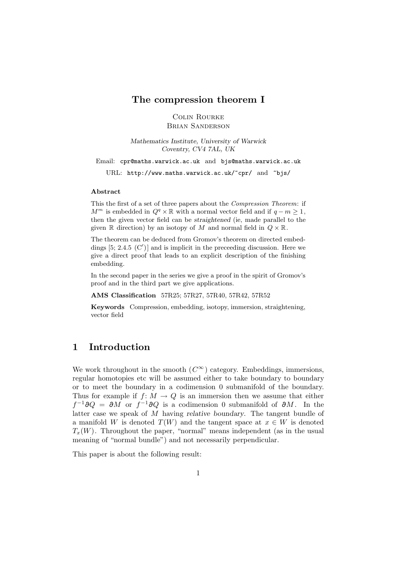## **The compression theorem I**

Colin Rourke Brian Sanderson

*Mathematics Institute, University of Warwick Coventry, CV4 7AL, UK*

Email: cpr@maths.warwick.ac.uk and bjs@maths.warwick.ac.uk

URL: http://www.maths.warwick.ac.uk/~cpr/ and ~bjs/

#### **Abstract**

This the first of a set of three papers about the Compression Theorem: if  $M^m$  is embedded in  $Q^q \times \mathbb{R}$  with a normal vector field and if  $q - m \geq 1$ , then the given vector field can be *straightened* (ie, made parallel to the given R direction) by an isotopy of M and normal field in  $Q \times \mathbb{R}$ .

The theorem can be deduced from Gromov's theorem on directed embeddings  $[5; 2.4.5 (C')]$  and is implicit in the preceeding discussion. Here we give a direct proof that leads to an explicit description of the finishing embedding.

In the second paper in the series we give a proof in the spirit of Gromov's proof and in the third part we give applications.

**AMS Classification** 57R25; 57R27, 57R40, 57R42, 57R52

**Keywords** Compression, embedding, isotopy, immersion, straightening, vector field

# **1 Introduction**

We work throughout in the smooth  $(C^{\infty})$  category. Embeddings, immersions, regular homotopies etc will be assumed either to take boundary to boundary or to meet the boundary in a codimension 0 submanifold of the boundary. Thus for example if  $f: M \to Q$  is an immersion then we assume that either  $f^{-1}\partial Q = \partial M$  or  $f^{-1}\partial Q$  is a codimension 0 submanifold of  $\partial M$ . In the latter case we speak of M having *relative boundary*. The tangent bundle of a manifold W is denoted  $T(W)$  and the tangent space at  $x \in W$  is denoted  $T_x(W)$ . Throughout the paper, "normal" means independent (as in the usual meaning of "normal bundle") and not necessarily perpendicular.

This paper is about the following result: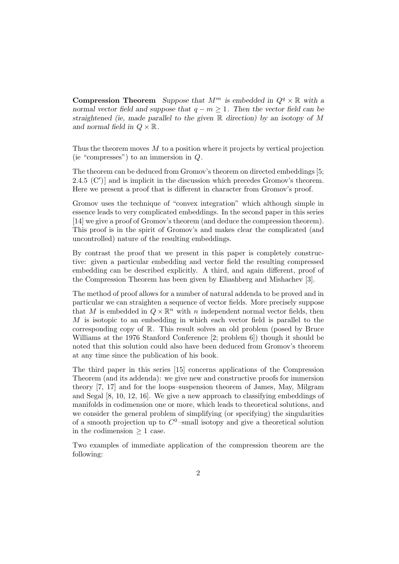**Compression Theorem** *Suppose that*  $M^m$  *is embedded in*  $Q^q \times \mathbb{R}$  *with a normal vector field and suppose that*  $q - m \geq 1$ . Then the vector field can be *straightened (ie, made parallel to the given* R *direction) by an isotopy of* M and normal field in  $Q \times \mathbb{R}$ .

Thus the theorem moves M to a position where it projects by vertical projection (ie "compresses") to an immersion in  $Q$ .

The theorem can be deduced from Gromov's theorem on directed embeddings [5; 2.4.5  $(C')$  and is implicit in the discussion which precedes Gromov's theorem. Here we present a proof that is different in character from Gromov's proof.

Gromov uses the technique of "convex integration" which although simple in essence leads to very complicated embeddings. In the second paper in this series [14] we give a proof of Gromov's theorem (and deduce the compression theorem). This proof is in the spirit of Gromov's and makes clear the complicated (and uncontrolled) nature of the resulting embeddings.

By contrast the proof that we present in this paper is completely constructive: given a particular embedding and vector field the resulting compressed embedding can be described explicitly. A third, and again different, proof of the Compression Theorem has been given by Eliashberg and Mishachev [3].

The method of proof allows for a number of natural addenda to be proved and in particular we can straighten a sequence of vector fields. More precisely suppose that M is embedded in  $Q \times \mathbb{R}^n$  with n independent normal vector fields, then M is isotopic to an embedding in which each vector field is parallel to the corresponding copy of R. This result solves an old problem (posed by Bruce Williams at the 1976 Stanford Conference [2; problem 6]) though it should be noted that this solution could also have been deduced from Gromov's theorem at any time since the publication of his book.

The third paper in this series [15] concerns applications of the Compression Theorem (and its addenda): we give new and constructive proofs for immersion theory [7, 17] and for the loops–suspension theorem of James, May, Milgram and Segal [8, 10, 12, 16]. We give a new approach to classifying embeddings of manifolds in codimension one or more, which leads to theoretical solutions, and we consider the general problem of simplifying (or specifying) the singularities of a smooth projection up to  $C^0$ -small isotopy and give a theoretical solution in the codimension  $\geq 1$  case.

Two examples of immediate application of the compression theorem are the following: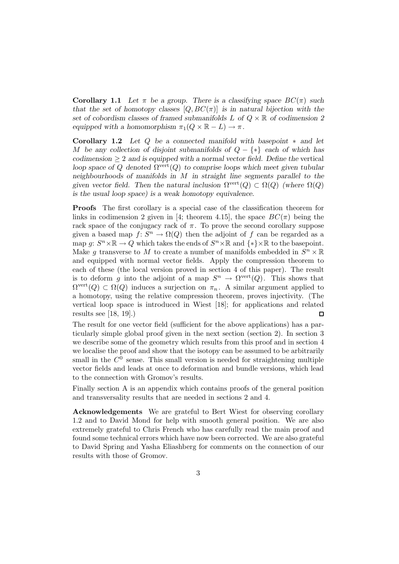**Corollary 1.1** Let  $\pi$  be a group. There is a classifying space  $BC(\pi)$  such *that the set of homotopy classes*  $[Q, BC(\pi)]$  *is in natural bijection with the set of cobordism classes of framed submanifolds* L *of* Q × R *of codimension 2 equipped with a homomorphism*  $\pi_1(Q \times \mathbb{R} - L) \to \pi$ .

**Corollary 1.2** *Let* Q *be a connected manifold with basepoint* ∗ *and let* M *be any collection of disjoint submanifolds of* Q − {∗} *each of which has*  $codimension \geq 2$  *and is equipped with a normal vector field. Define the vertical loop space of Q denoted*  $\Omega^{\text{vert}}(Q)$  *to comprise loops which meet given tubular neighbourhoods of manifolds in* M *in straight line segments parallel to the given vector field. Then the natural inclusion*  $\Omega^{\text{vert}}(Q) \subset \Omega(Q)$  *(where*  $\Omega(Q)$ ) *is the usual loop space) is a weak homotopy equivalence.*

**Proofs** The first corollary is a special case of the classification theorem for links in codimension 2 given in [4; theorem 4.15], the space  $BC(\pi)$  being the rack space of the conjugacy rack of  $\pi$ . To prove the second corollary suppose given a based map  $f: S^n \to \Omega(Q)$  then the adjoint of f can be regarded as a map  $g: S^n \times \mathbb{R} \to Q$  which takes the ends of  $S^n \times \mathbb{R}$  and  $\{*\} \times \mathbb{R}$  to the basepoint. Make g transverse to M to create a number of manifolds embedded in  $S<sup>n</sup> \times \mathbb{R}$ and equipped with normal vector fields. Apply the compression theorem to each of these (the local version proved in section 4 of this paper). The result is to deform g into the adjoint of a map  $S^n \to \Omega^{\text{vert}}(Q)$ . This shows that  $\Omega^{\text{vert}}(Q) \subset \Omega(Q)$  induces a surjection on  $\pi_n$ . A similar argument applied to a homotopy, using the relative compression theorem, proves injectivity. (The vertical loop space is introduced in Wiest [18]; for applications and related results see [18, 19].)  $\Box$ 

The result for one vector field (sufficient for the above applications) has a particularly simple global proof given in the next section (section 2). In section 3 we describe some of the geometry which results from this proof and in section 4 we localise the proof and show that the isotopy can be assumed to be arbitrarily small in the  $C^0$  sense. This small version is needed for straightening multiple vector fields and leads at once to deformation and bundle versions, which lead to the connection with Gromov's results.

Finally section A is an appendix which contains proofs of the general position and transversality results that are needed in sections 2 and 4.

**Acknowledgements** We are grateful to Bert Wiest for observing corollary 1.2 and to David Mond for help with smooth general position. We are also extremely grateful to Chris French who has carefully read the main proof and found some technical errors which have now been corrected. We are also grateful to David Spring and Yasha Eliashberg for comments on the connection of our results with those of Gromov.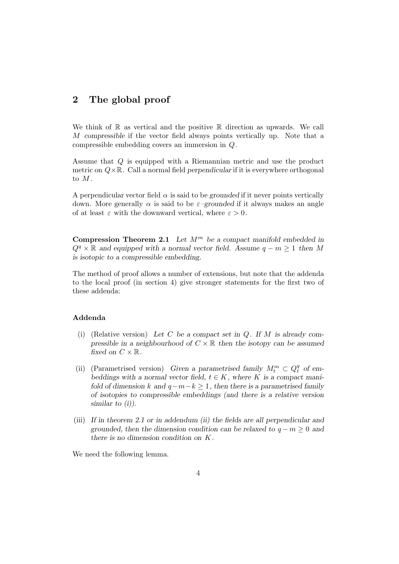# **2 The global proof**

We think of  $\mathbb R$  as vertical and the positive  $\mathbb R$  direction as upwards. We call M *compressible* if the vector field always points vertically up. Note that a compressible embedding covers an immersion in Q.

Assume that Q is equipped with a Riemannian metric and use the product metric on  $Q \times \mathbb{R}$ . Call a normal field *perpendicular* if it is everywhere orthogonal to  $M$ .

A perpendicular vector field  $\alpha$  is said to be *grounded* if it never points vertically down. More generally  $\alpha$  is said to be  $\varepsilon$ -grounded if it always makes an angle of at least  $\varepsilon$  with the downward vertical, where  $\varepsilon > 0$ .

**Compression Theorem 2.1** *Let*  $M^m$  *be a compact manifold embedded in*  $Q^q \times \mathbb{R}$  and equipped with a normal vector field. Assume  $q - m \geq 1$  then M *is isotopic to a compressible embedding.*

The method of proof allows a number of extensions, but note that the addenda to the local proof (in section 4) give stronger statements for the first two of these addenda:

### **Addenda**

- (i) (Relative version) *Let* C *be a compact set in* Q*. If* M *is already compressible in a neighbourhood of*  $C \times \mathbb{R}$  *then the isotopy can be assumed fixed on*  $C \times \mathbb{R}$ *.*
- (ii) (Parametrised version) *Given a parametrised family*  $M_t^m \,\subset Q_t^q$  of em*beddings with a normal vector field,*  $t \in K$ *, where* K *is a compact manifold of dimension*  $k$  *and*  $q-m-k \geq 1$ *, then there is a parametrised family of isotopies to compressible embeddings (and there is a relative version similar to (i)).*
- (iii) *If in theorem 2.1 or in addendum (ii) the fields are all perpendicular and grounded, then the dimension condition can be relaxed to*  $q - m \geq 0$  *and there is no dimension condition on* K*.*

We need the following lemma.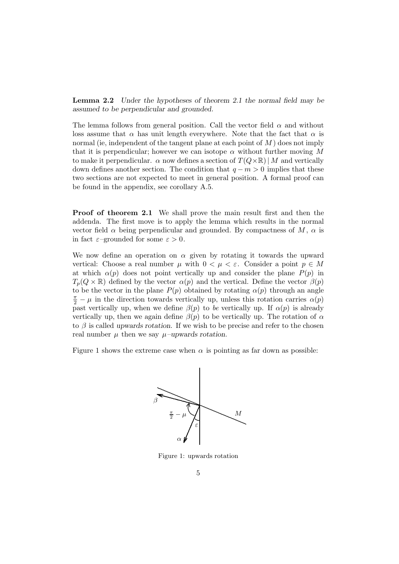**Lemma 2.2** *Under the hypotheses of theorem 2.1 the normal field may be assumed to be perpendicular and grounded.*

The lemma follows from general position. Call the vector field  $\alpha$  and without loss assume that  $\alpha$  has unit length everywhere. Note that the fact that  $\alpha$  is normal (ie, independent of the tangent plane at each point of  $M$ ) does not imply that it is perpendicular; however we can isotope  $\alpha$  without further moving M to make it perpendicular.  $\alpha$  now defines a section of  $T(Q\times\mathbb{R})/M$  and vertically down defines another section. The condition that  $q - m > 0$  implies that these two sections are not expected to meet in general position. A formal proof can be found in the appendix, see corollary A.5.

**Proof of theorem 2.1** We shall prove the main result first and then the addenda. The first move is to apply the lemma which results in the normal vector field  $\alpha$  being perpendicular and grounded. By compactness of M,  $\alpha$  is in fact  $\varepsilon$ -grounded for some  $\varepsilon > 0$ .

We now define an operation on  $\alpha$  given by rotating it towards the upward vertical: Choose a real number  $\mu$  with  $0 < \mu < \varepsilon$ . Consider a point  $p \in M$ at which  $\alpha(p)$  does not point vertically up and consider the plane  $P(p)$  in  $T_p(Q \times \mathbb{R})$  defined by the vector  $\alpha(p)$  and the vertical. Define the vector  $\beta(p)$ to be the vector in the plane  $P(p)$  obtained by rotating  $\alpha(p)$  through an angle  $\frac{\pi}{2} - \mu$  in the direction towards vertically up, unless this rotation carries  $\alpha(p)$ past vertically up, when we define  $\beta(p)$  to be vertically up. If  $\alpha(p)$  is already vertically up, then we again define  $\beta(p)$  to be vertically up. The rotation of  $\alpha$ to β is called *upwards rotation*. If we wish to be precise and refer to the chosen real number  $\mu$  then we say  $\mu$ –upwards rotation.

Figure 1 shows the extreme case when  $\alpha$  is pointing as far down as possible:



Figure 1: upwards rotation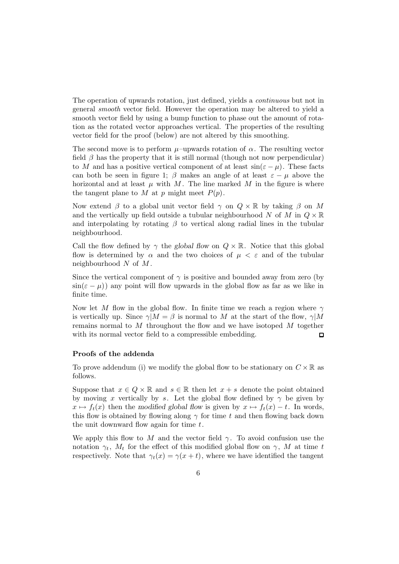The operation of upwards rotation, just defined, yields a continuous but not in general smooth vector field. However the operation may be altered to yield a smooth vector field by using a bump function to phase out the amount of rotation as the rotated vector approaches vertical. The properties of the resulting vector field for the proof (below) are not altered by this smoothing.

The second move is to perform  $\mu$ –upwards rotation of  $\alpha$ . The resulting vector field  $\beta$  has the property that it is still normal (though not now perpendicular) to M and has a positive vertical component of at least  $sin(\varepsilon - \mu)$ . These facts can both be seen in figure 1;  $\beta$  makes an angle of at least  $\varepsilon - \mu$  above the horizontal and at least  $\mu$  with M. The line marked M in the figure is where the tangent plane to M at p might meet  $P(p)$ .

Now extend  $\beta$  to a global unit vector field  $\gamma$  on  $Q \times \mathbb{R}$  by taking  $\beta$  on M and the vertically up field outside a tubular neighbourhood N of M in  $Q \times \mathbb{R}$ and interpolating by rotating  $\beta$  to vertical along radial lines in the tubular neighbourhood.

Call the flow defined by  $\gamma$  the *global flow* on  $Q \times \mathbb{R}$ . Notice that this global flow is determined by  $\alpha$  and the two choices of  $\mu < \varepsilon$  and of the tubular neighbourhood  $N$  of  $M$ .

Since the vertical component of  $\gamma$  is positive and bounded away from zero (by  $\sin(\epsilon - \mu)$  any point will flow upwards in the global flow as far as we like in finite time.

Now let M flow in the global flow. In finite time we reach a region where  $\gamma$ is vertically up. Since  $\gamma|M = \beta$  is normal to M at the start of the flow,  $\gamma|M$ remains normal to M throughout the flow and we have isotoped M together with its normal vector field to a compressible embedding.  $\Box$ 

#### **Proofs of the addenda**

To prove addendum (i) we modify the global flow to be stationary on  $C \times \mathbb{R}$  as follows.

Suppose that  $x \in Q \times \mathbb{R}$  and  $s \in \mathbb{R}$  then let  $x + s$  denote the point obtained by moving x vertically by s. Let the global flow defined by  $\gamma$  be given by  $x \mapsto f_t(x)$  then the *modified global flow* is given by  $x \mapsto f_t(x) - t$ . In words, this flow is obtained by flowing along  $\gamma$  for time t and then flowing back down the unit downward flow again for time  $t$ .

We apply this flow to M and the vector field  $\gamma$ . To avoid confusion use the notation  $\gamma_t$ ,  $M_t$  for the effect of this modified global flow on  $\gamma$ , M at time t respectively. Note that  $\gamma_t(x) = \gamma(x + t)$ , where we have identified the tangent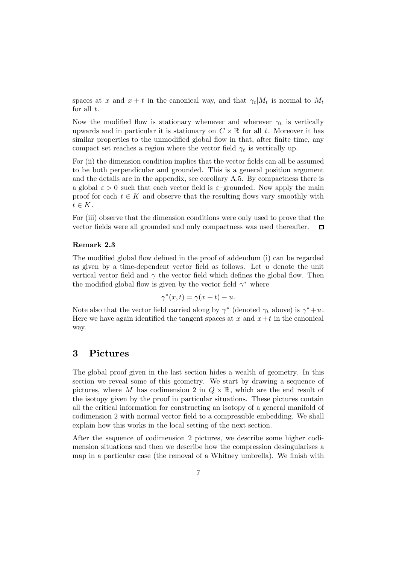spaces at x and  $x + t$  in the canonical way, and that  $\gamma_t|M_t$  is normal to  $M_t$ for all  $t$ .

Now the modified flow is stationary whenever and wherever  $\gamma_t$  is vertically upwards and in particular it is stationary on  $C \times \mathbb{R}$  for all t. Moreover it has similar properties to the unmodified global flow in that, after finite time, any compact set reaches a region where the vector field  $\gamma_t$  is vertically up.

For (ii) the dimension condition implies that the vector fields can all be assumed to be both perpendicular and grounded. This is a general position argument and the details are in the appendix, see corollary A.5. By compactness there is a global  $\varepsilon > 0$  such that each vector field is  $\varepsilon$ -grounded. Now apply the main proof for each  $t \in K$  and observe that the resulting flows vary smoothly with  $t \in K$ .

For (iii) observe that the dimension conditions were only used to prove that the vector fields were all grounded and only compactness was used thereafter. □

### **Remark 2.3**

The modified global flow defined in the proof of addendum (i) can be regarded as given by a time-dependent vector field as follows. Let  $u$  denote the unit vertical vector field and  $\gamma$  the vector field which defines the global flow. Then the modified global flow is given by the vector field  $\gamma^*$  where

$$
\gamma^*(x,t) = \gamma(x+t) - u.
$$

Note also that the vector field carried along by  $\gamma^*$  (denoted  $\gamma_t$  above) is  $\gamma^*+u$ . Here we have again identified the tangent spaces at  $x$  and  $x+t$  in the canonical way.

## **3 Pictures**

The global proof given in the last section hides a wealth of geometry. In this section we reveal some of this geometry. We start by drawing a sequence of pictures, where M has codimension 2 in  $Q \times \mathbb{R}$ , which are the end result of the isotopy given by the proof in particular situations. These pictures contain all the critical information for constructing an isotopy of a general manifold of codimension 2 with normal vector field to a compressible embedding. We shall explain how this works in the local setting of the next section.

After the sequence of codimension 2 pictures, we describe some higher codimension situations and then we describe how the compression desingularises a map in a particular case (the removal of a Whitney umbrella). We finish with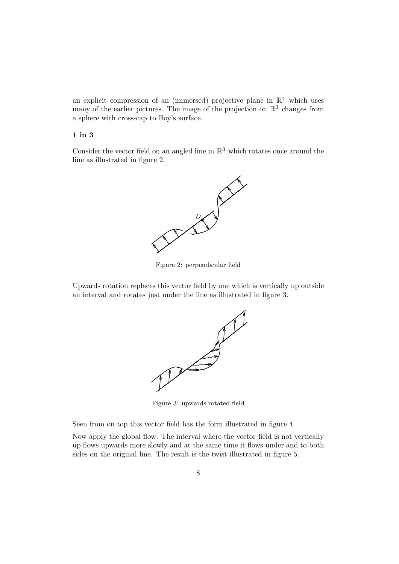an explicit compression of an (immersed) projective plane in  $\mathbb{R}^4$  which uses many of the earlier pictures. The image of the projection on  $\mathbb{R}^3$  changes from a sphere with cross-cap to Boy's surface.

#### **1 in 3**

Consider the vector field on an angled line in  $\mathbb{R}^3$  which rotates once around the line as illustrated in figure 2.



Figure 2: perpendicular field

Upwards rotation replaces this vector field by one which is vertically up outside an interval and rotates just under the line as illustrated in figure 3.



Figure 3: upwards rotated field

Seen from on top this vector field has the form illustrated in figure 4.

Now apply the global flow. The interval where the vector field is not vertically up flows upwards more slowly and at the same time it flows under and to both sides on the original line. The result is the twist illustrated in figure 5.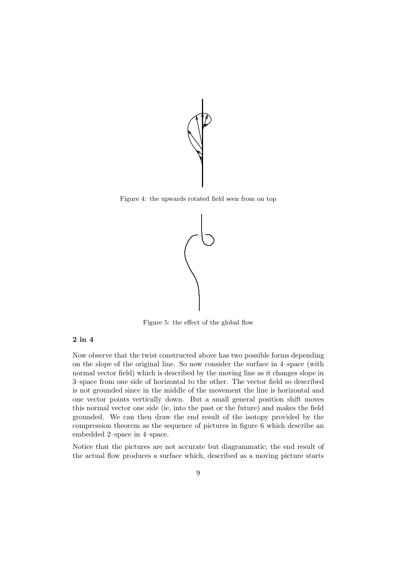

Figure 4: the upwards rotated field seen from on top



Figure 5: the effect of the global flow

### **2 in 4**

Now observe that the twist constructed above has two possible forms depending on the slope of the original line. So now consider the surface in 4–space (with normal vector field) which is described by the moving line as it changes slope in 3–space from one side of horizontal to the other. The vector field so described is not grounded since in the middle of the movement the line is horizontal and one vector points vertically down. But a small general position shift moves this normal vector one side (ie, into the past or the future) and makes the field grounded. We can then draw the end result of the isotopy provided by the compression theorem as the sequence of pictures in figure 6 which describe an embedded 2–space in 4–space.

Notice that the pictures are not accurate but diagrammatic; the end result of the actual flow produces a surface which, described as a moving picture starts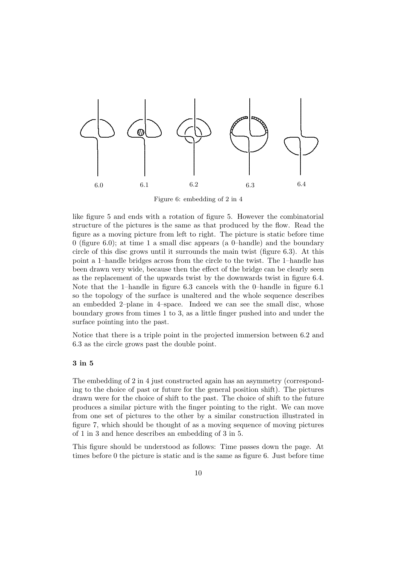

Figure 6: embedding of 2 in 4

like figure 5 and ends with a rotation of figure 5. However the combinatorial structure of the pictures is the same as that produced by the flow. Read the figure as a moving picture from left to right. The picture is static before time 0 (figure 6.0); at time 1 a small disc appears (a 0–handle) and the boundary circle of this disc grows until it surrounds the main twist (figure 6.3). At this point a 1–handle bridges across from the circle to the twist. The 1–handle has been drawn very wide, because then the effect of the bridge can be clearly seen as the replacement of the upwards twist by the downwards twist in figure 6.4. Note that the 1–handle in figure 6.3 cancels with the 0–handle in figure 6.1 so the topology of the surface is unaltered and the whole sequence describes an embedded 2–plane in 4–space. Indeed we can see the small disc, whose boundary grows from times 1 to 3, as a little finger pushed into and under the surface pointing into the past.

Notice that there is a triple point in the projected immersion between 6.2 and 6.3 as the circle grows past the double point.

### **3 in 5**

The embedding of 2 in 4 just constructed again has an asymmetry (corresponding to the choice of past or future for the general position shift). The pictures drawn were for the choice of shift to the past. The choice of shift to the future produces a similar picture with the finger pointing to the right. We can move from one set of pictures to the other by a similar construction illustrated in figure 7, which should be thought of as a moving sequence of moving pictures of 1 in 3 and hence describes an embedding of 3 in 5.

This figure should be understood as follows: Time passes down the page. At times before 0 the picture is static and is the same as figure 6. Just before time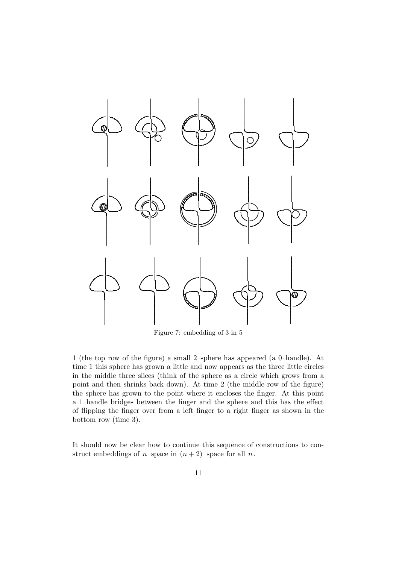

Figure 7: embedding of 3 in 5

1 (the top row of the figure) a small 2-sphere has appeared (a 0-handle). At time 1 this sphere has grown a little and now appears as the three little circles in the middle three slices (think of the sphere as a circle which grows from a point and then shrinks back down). At time 2 (the middle row of the figure) the sphere has grown to the point where it encloses the finger. At this point a 1-handle bridges between the finger and the sphere and this has the effect of flipping the finger over from a left finger to a right finger as shown in the bottom row (time  $3$ ).

It should now be clear how to continue this sequence of constructions to construct embeddings of *n*-space in  $(n+2)$ -space for all *n*.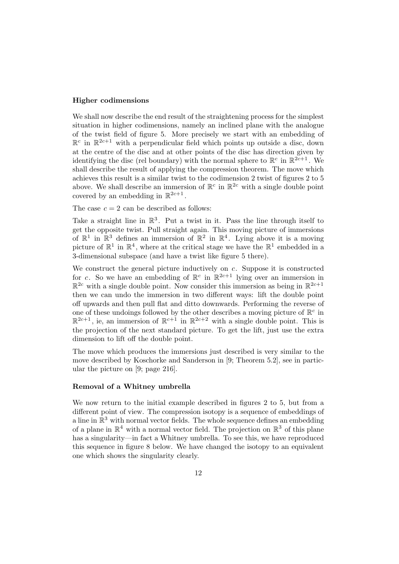#### **Higher codimensions**

We shall now describe the end result of the straightening process for the simplest situation in higher codimensions, namely an inclined plane with the analogue of the twist field of figure 5. More precisely we start with an embedding of  $\mathbb{R}^c$  in  $\mathbb{R}^{2c+1}$  with a perpendicular field which points up outside a disc, down at the centre of the disc and at other points of the disc has direction given by identifying the disc (rel boundary) with the normal sphere to  $\mathbb{R}^c$  in  $\mathbb{R}^{2c+1}$ . We shall describe the result of applying the compression theorem. The move which achieves this result is a similar twist to the codimension 2 twist of figures 2 to 5 above. We shall describe an immersion of  $\mathbb{R}^c$  in  $\mathbb{R}^{2c}$  with a single double point covered by an embedding in  $\mathbb{R}^{2c+1}$ .

The case  $c = 2$  can be described as follows:

Take a straight line in  $\mathbb{R}^3$ . Put a twist in it. Pass the line through itself to get the opposite twist. Pull straight again. This moving picture of immersions of  $\mathbb{R}^1$  in  $\mathbb{R}^3$  defines an immersion of  $\mathbb{R}^2$  in  $\mathbb{R}^4$ . Lying above it is a moving picture of  $\mathbb{R}^1$  in  $\mathbb{R}^4$ , where at the critical stage we have the  $\mathbb{R}^1$  embedded in a 3-dimensional subspace (and have a twist like figure 5 there).

We construct the general picture inductively on  $c$ . Suppose it is constructed for c. So we have an embedding of  $\mathbb{R}^c$  in  $\mathbb{R}^{2c+1}$  lying over an immersion in  $\mathbb{R}^{2c}$  with a single double point. Now consider this immersion as being in  $\mathbb{R}^{2c+1}$ then we can undo the immersion in two different ways: lift the double point off upwards and then pull flat and ditto downwards. Performing the reverse of one of these undoings followed by the other describes a moving picture of  $\mathbb{R}^c$  in  $\mathbb{R}^{2c+1}$ , ie, an immersion of  $\mathbb{R}^{c+1}$  in  $\mathbb{R}^{2c+2}$  with a single double point. This is the projection of the next standard picture. To get the lift, just use the extra dimension to lift off the double point.

The move which produces the immersions just described is very similar to the move described by Koschorke and Sanderson in [9; Theorem 5.2], see in particular the picture on [9; page 216].

#### **Removal of a Whitney umbrella**

We now return to the initial example described in figures 2 to 5, but from a different point of view. The compression isotopy is a sequence of embeddings of a line in  $\mathbb{R}^3$  with normal vector fields. The whole sequence defines an embedding of a plane in  $\mathbb{R}^4$  with a normal vector field. The projection on  $\mathbb{R}^3$  of this plane has a singularity—in fact a Whitney umbrella. To see this, we have reproduced this sequence in figure 8 below. We have changed the isotopy to an equivalent one which shows the singularity clearly.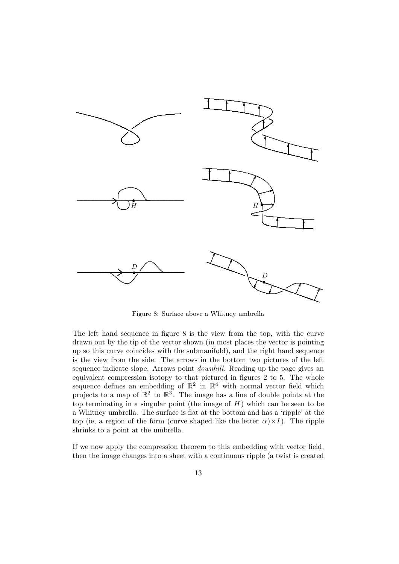

Figure 8: Surface above a Whitney umbrella

The left hand sequence in figure  $8$  is the view from the top, with the curve drawn out by the tip of the vector shown (in most places the vector is pointing up so this curve coincides with the submanifold), and the right hand sequence is the view from the side. The arrows in the bottom two pictures of the left sequence indicate slope. Arrows point *downhill*. Reading up the page gives an equivalent compression isotopy to that pictured in figures 2 to 5. The whole sequence defines an embedding of  $\mathbb{R}^2$  in  $\mathbb{R}^4$  with normal vector field which projects to a map of  $\mathbb{R}^2$  to  $\mathbb{R}^3$ . The image has a line of double points at the top terminating in a singular point (the image of  $H$ ) which can be seen to be a Whitney umbrella. The surface is flat at the bottom and has a 'ripple' at the top (ie, a region of the form (curve shaped like the letter  $\alpha$ ) × I). The ripple shrinks to a point at the umbrella.

If we now apply the compression theorem to this embedding with vector field, then the image changes into a sheet with a continuous ripple (a twist is created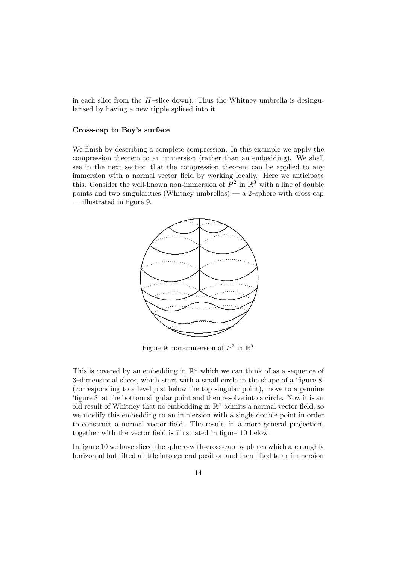in each slice from the  $H$ -slice down). Thus the Whitney umbrella is desingularised by having a new ripple spliced into it.

#### **Cross-cap to Boy's surface**

We finish by describing a complete compression. In this example we apply the compression theorem to an immersion (rather than an embedding). We shall see in the next section that the compression theorem can be applied to any immersion with a normal vector field by working locally. Here we anticipate this. Consider the well-known non-immersion of  $P^2$  in  $\mathbb{R}^3$  with a line of double points and two singularities (Whitney umbrellas) — a 2-sphere with cross-cap — illustrated in figure 9.



Figure 9: non-immersion of  $P^2$  in  $\mathbb{R}^3$ 

This is covered by an embedding in  $\mathbb{R}^4$  which we can think of as a sequence of 3–dimensional slices, which start with a small circle in the shape of a 'figure 8' (corresponding to a level just below the top singular point), move to a genuine 'figure 8' at the bottom singular point and then resolve into a circle. Now it is an old result of Whitney that no embedding in  $\mathbb{R}^4$  admits a normal vector field, so we modify this embedding to an immersion with a single double point in order to construct a normal vector field. The result, in a more general projection, together with the vector field is illustrated in figure 10 below.

In figure 10 we have sliced the sphere-with-cross-cap by planes which are roughly horizontal but tilted a little into general position and then lifted to an immersion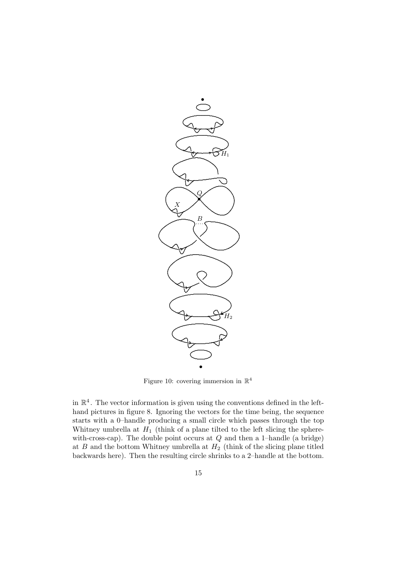

Figure 10: covering immersion in  $\mathbb{R}^4$ 

in  $\mathbb{R}^4$ . The vector information is given using the conventions defined in the lefthand pictures in figure 8. Ignoring the vectors for the time being, the sequence starts with a 0-handle producing a small circle which passes through the top Whitney umbrella at  $H_1$  (think of a plane tilted to the left slicing the spherewith-cross-cap). The double point occurs at  $Q$  and then a 1-handle (a bridge) at  $B$  and the bottom Whitney umbrella at  $H_2$  (think of the slicing plane titled backwards here). Then the resulting circle shrinks to a 2-handle at the bottom.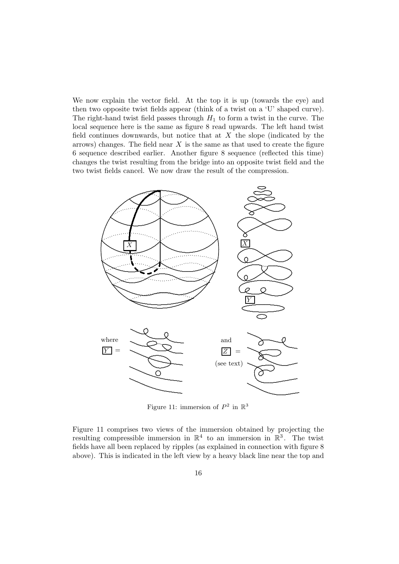We now explain the vector field. At the top it is up (towards the eye) and then two opposite twist fields appear (think of a twist on a 'U' shaped curve). The right-hand twist field passes through  $H_1$  to form a twist in the curve. The local sequence here is the same as figure 8 read upwards. The left hand twist field continues downwards, but notice that at  $X$  the slope (indicated by the arrows) changes. The field near  $X$  is the same as that used to create the figure 6 sequence described earlier. Another figure 8 sequence (reflected this time) changes the twist resulting from the bridge into an opposite twist field and the two twist fields cancel. We now draw the result of the compression.



Figure 11: immersion of  $P^2$  in  $\mathbb{R}^3$ 

Figure 11 comprises two views of the immersion obtained by projecting the resulting compressible immersion in  $\mathbb{R}^4$  to an immersion in  $\mathbb{R}^3$ . The twist fields have all been replaced by ripples (as explained in connection with figure 8 above). This is indicated in the left view by a heavy black line near the top and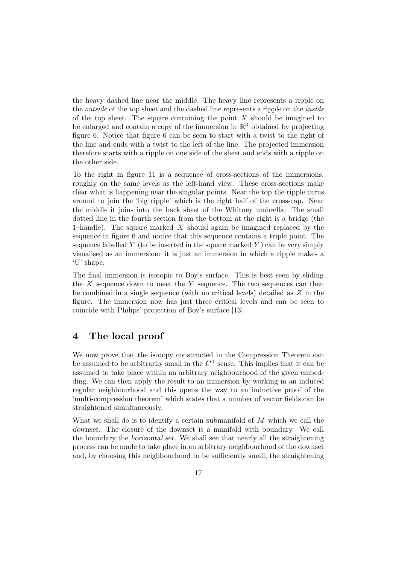the heavy dashed line near the middle. The heavy line represents a ripple on the *outside* of the top sheet and the dashed line represents a ripple on the *inside* of the top sheet. The square containing the point  $X$  should be imagined to be enlarged and contain a copy of the immersion in  $\mathbb{R}^3$  obtained by projecting figure 6. Notice that figure 6 can be seen to start with a twist to the right of the line and ends with a twist to the left of the line. The projected immersion therefore starts with a ripple on one side of the sheet and ends with a ripple on the other side.

To the right in figure 11 is a sequence of cross-sections of the immersions, roughly on the same levels as the left-hand view. These cross-sections make clear what is happening near the singular points. Near the top the ripple turns around to join the 'big ripple' which is the right half of the cross-cap. Near the middle it joins into the back sheet of the Whitney umbrella. The small dotted line in the fourth section from the bottom at the right is a bridge (the 1–handle). The square marked  $X$  should again be imagined replaced by the sequence in figure 6 and notice that this sequence contains a triple point. The sequence labelled  $Y$  (to be inserted in the square marked  $Y$ ) can be very simply visualised as an immersion: it is just an immersion in which a ripple makes a 'U' shape.

The final immersion is isotopic to Boy's surface. This is best seen by sliding the  $X$  sequence down to meet the  $Y$  sequence. The two sequences can then be combined in a single sequence (with no critical levels) detailed as Z in the figure. The immersion now has just three critical levels and can be seen to coincide with Philips' projection of Boy's surface [13].

# **4 The local proof**

We now prove that the isotopy constructed in the Compression Theorem can be assumed to be arbitrarily small in the  $C<sup>0</sup>$  sense. This implies that it can be assumed to take place within an arbitrary neighbourhood of the given embedding. We can then apply the result to an immersion by working in an induced regular neighbourhood and this opens the way to an inductive proof of the 'multi-compression theorem' which states that a number of vector fields can be straightened simultaneously.

What we shall do is to identify a certain submanifold of  $M$  which we call the *downset*. The closure of the downset is a manifold with boundary. We call the boundary the *horizontal set*. We shall see that nearly all the straightening process can be made to take place in an arbitrary neighbourhood of the downset and, by choosing this neighbourhood to be sufficiently small, the straightening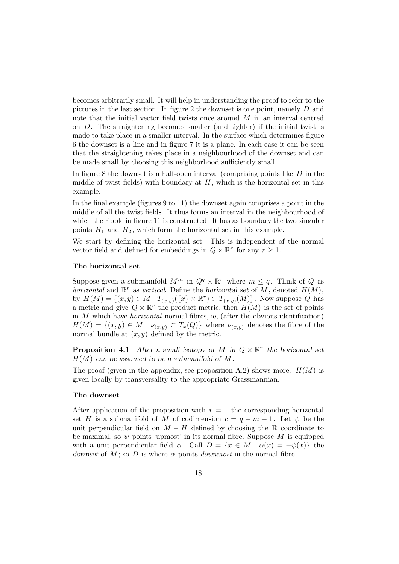becomes arbitrarily small. It will help in understanding the proof to refer to the pictures in the last section. In figure 2 the downset is one point, namely D and note that the initial vector field twists once around M in an interval centred on  $D$ . The straightening becomes smaller (and tighter) if the initial twist is made to take place in a smaller interval. In the surface which determines figure 6 the downset is a line and in figure 7 it is a plane. In each case it can be seen that the straightening takes place in a neighbourhood of the downset and can be made small by choosing this neighborhood sufficiently small.

In figure 8 the downset is a half-open interval (comprising points like  $D$  in the middle of twist fields) with boundary at  $H$ , which is the horizontal set in this example.

In the final example (figures 9 to 11) the downset again comprises a point in the middle of all the twist fields. It thus forms an interval in the neighbourhood of which the ripple in figure 11 is constructed. It has as boundary the two singular points  $H_1$  and  $H_2$ , which form the horizontal set in this example.

We start by defining the horizontal set. This is independent of the normal vector field and defined for embeddings in  $Q \times \mathbb{R}^r$  for any  $r \geq 1$ .

#### **The horizontal set**

Suppose given a submanifold  $M^m$  in  $Q^q \times \mathbb{R}^r$  where  $m \leq q$ . Think of Q as horizontal and  $\mathbb{R}^r$  as vertical. Define the horizontal set of M, denoted  $H(M)$ , by  $H(M) = \{(x, y) \in M \mid T_{(x,y)}(\{x\} \times \mathbb{R}^r) \subset T_{(x,y)}(M)\}\.$  Now suppose Q has a metric and give  $Q \times \mathbb{R}^r$  the product metric, then  $H(M)$  is the set of points in  $M$  which have *horizontal* normal fibres, ie, (after the obvious identification)  $H(M) = \{(x, y) \in M \mid \nu_{(x, y)} \subset T_x(Q)\}\$  where  $\nu_{(x, y)}$  denotes the fibre of the normal bundle at  $(x, y)$  defined by the metric.

**Proposition 4.1** *After a small isotopy of* M in  $Q \times \mathbb{R}^r$  *the horizontal set* H(M) *can be assumed to be a submanifold of* M *.*

The proof (given in the appendix, see proposition A.2) shows more.  $H(M)$  is given locally by transversality to the appropriate Grassmannian.

#### **The downset**

After application of the proposition with  $r = 1$  the corresponding horizontal set H is a submanifold of M of codimension  $c = q - m + 1$ . Let  $\psi$  be the unit perpendicular field on  $M - H$  defined by choosing the R coordinate to be maximal, so  $\psi$  points 'upmost' in its normal fibre. Suppose M is equipped with a unit perpendicular field  $\alpha$ . Call  $D = \{x \in M \mid \alpha(x) = -\psi(x)\}\)$ *downset* of  $M$ ; so  $D$  is where  $\alpha$  points *downmost* in the normal fibre.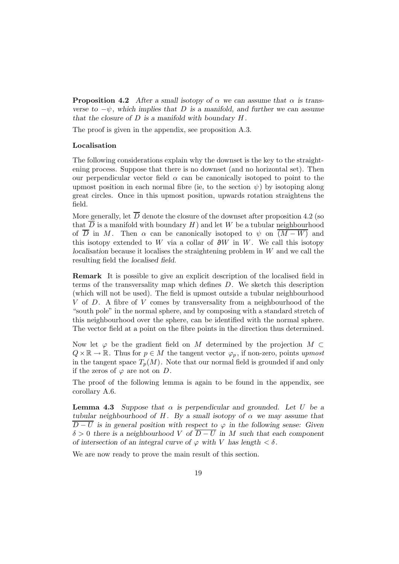**Proposition 4.2** After a small isotopy of  $\alpha$  we can assume that  $\alpha$  is trans*verse to*  $-\psi$ *, which implies that* D *is a manifold, and further we can assume that the closure of* D *is a manifold with boundary* H *.*

The proof is given in the appendix, see proposition A.3.

### **Localisation**

The following considerations explain why the downset is the key to the straightening process. Suppose that there is no downset (and no horizontal set). Then our perpendicular vector field  $\alpha$  can be canonically isotoped to point to the upmost position in each normal fibre (ie, to the section  $\psi$ ) by isotoping along great circles. Once in this upmost position, upwards rotation straightens the field.

More generally, let  $\overline{D}$  denote the closure of the downset after proposition 4.2 (so that  $\overline{D}$  is a manifold with boundary H and let W be a tubular neighbourhood of  $\overline{D}$  in M. Then  $\alpha$  can be canonically isotoped to  $\psi$  on  $(M - W)$  and this isotopy extended to W via a collar of  $\partial W$  in W. We call this isotopy *localisation* because it localises the straightening problem in W and we call the resulting field the *localised field*.

**Remark** It is possible to give an explicit description of the localised field in terms of the transversality map which defines D. We sketch this description (which will not be used). The field is upmost outside a tubular neighbourhood V of D. A fibre of V comes by transversality from a neighbourhood of the "south pole" in the normal sphere, and by composing with a standard stretch of this neighbourhood over the sphere, can be identified with the normal sphere. The vector field at a point on the fibre points in the direction thus determined.

Now let  $\varphi$  be the gradient field on M determined by the projection  $M \subset$  $Q \times \mathbb{R} \to \mathbb{R}$ . Thus for  $p \in M$  the tangent vector  $\varphi_p$ , if non-zero, points upmost in the tangent space  $T_p(M)$ . Note that our normal field is grounded if and only if the zeros of  $\varphi$  are not on D.

The proof of the following lemma is again to be found in the appendix, see corollary A.6.

**Lemma 4.3** *Suppose that*  $\alpha$  *is perpendicular and grounded. Let* U *be a tubular neighbourhood of H.* By a small isotopy of  $\alpha$  we may assume that  $D-U$  is in general position with respect to  $\varphi$  in the following sense: Given  $\delta > 0$  there is a neighbourhood V of  $\overline{D-U}$  in M such that each component *of intersection of an integral curve of*  $\varphi$  *with V has length*  $\langle \delta$ .

We are now ready to prove the main result of this section.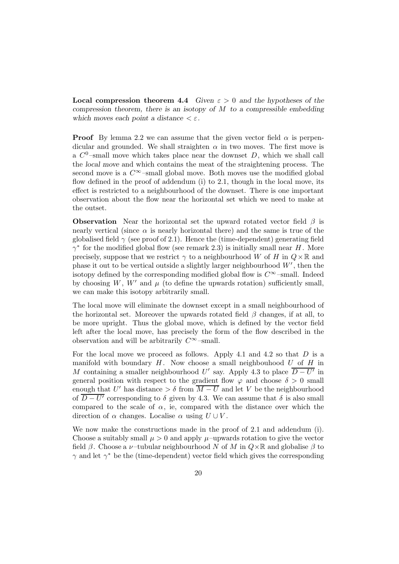**Local compression theorem 4.4** *Given*  $\varepsilon > 0$  *and the hypotheses of the compression theorem, there is an isotopy of* M *to a compressible embedding which moves each point a distance*  $\lt \varepsilon$ .

**Proof** By lemma 2.2 we can assume that the given vector field  $\alpha$  is perpendicular and grounded. We shall straighten  $\alpha$  in two moves. The first move is a  $C^0$ -small move which takes place near the downset D, which we shall call the *local move* and which contains the meat of the straightening process. The second move is a  $C^{\infty}$ -small global move. Both moves use the modified global flow defined in the proof of addendum (i) to 2.1, though in the local move, its effect is restricted to a neighbourhood of the downset. There is one important observation about the flow near the horizontal set which we need to make at the outset.

**Observation** Near the horizontal set the upward rotated vector field  $\beta$  is nearly vertical (since  $\alpha$  is nearly horizontal there) and the same is true of the globalised field  $\gamma$  (see proof of 2.1). Hence the (time-dependent) generating field  $\gamma^*$  for the modified global flow (see remark 2.3) is initially small near H. More precisely, suppose that we restrict  $\gamma$  to a neighbourhood W of H in  $Q \times \mathbb{R}$  and phase it out to be vertical outside a slightly larger neighbourhood  $W'$ , then the isotopy defined by the corresponding modified global flow is  $C^{\infty}$ –small. Indeed by choosing W, W' and  $\mu$  (to define the upwards rotation) sufficiently small, we can make this isotopy arbitrarily small.

The local move will eliminate the downset except in a small neighbourhood of the horizontal set. Moreover the upwards rotated field  $\beta$  changes, if at all, to be more upright. Thus the global move, which is defined by the vector field left after the local move, has precisely the form of the flow described in the observation and will be arbitrarily  $C^{\infty}$ –small.

For the local move we proceed as follows. Apply 4.1 and 4.2 so that  $D$  is a manifold with boundary  $H$ . Now choose a small neighbouhood  $U$  of  $H$  in M containing a smaller neighbourhood U' say. Apply 4.3 to place  $\overline{D - U'}$  in general position with respect to the gradient flow  $\varphi$  and choose  $\delta > 0$  small enough that U' has distance  $\geq \delta$  from  $\overline{M-U}$  and let V be the neighbourhood of  $\overline{D-U'}$  corresponding to  $\delta$  given by 4.3. We can assume that  $\delta$  is also small compared to the scale of  $\alpha$ , ie, compared with the distance over which the direction of  $\alpha$  changes. Localise  $\alpha$  using  $U \cup V$ .

We now make the constructions made in the proof of 2.1 and addendum (i). Choose a suitably small  $\mu > 0$  and apply  $\mu$ –upwards rotation to give the vector field  $\beta$ . Choose a *ν*-tubular neighbourhood N of M in  $Q \times \mathbb{R}$  and globalise  $\beta$  to  $\gamma$  and let  $\gamma^*$  be the (time-dependent) vector field which gives the corresponding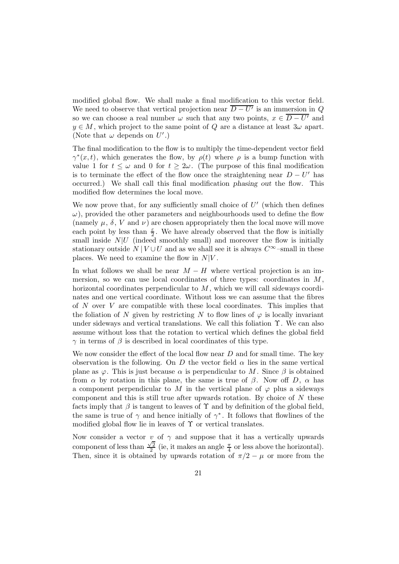modified global flow. We shall make a final modification to this vector field. We need to observe that vertical projection near  $\overline{D-U'}$  is an immersion in Q so we can choose a real number  $\omega$  such that any two points,  $x \in \overline{D-U'}$  and  $y \in M$ , which project to the same point of Q are a distance at least  $3\omega$  apart. (Note that  $\omega$  depends on  $U'.$ )

The final modification to the flow is to multiply the time-dependent vector field  $\gamma^*(x,t)$ , which generates the flow, by  $\rho(t)$  where  $\rho$  is a bump function with value 1 for  $t \leq \omega$  and 0 for  $t \geq 2\omega$ . (The purpose of this final modification is to terminate the effect of the flow once the straightening near  $D - U'$  has occurred.) We shall call this final modification *phasing out* the flow. This modified flow determines the local move.

We now prove that, for any sufficiently small choice of  $U'$  (which then defines  $\omega$ ), provided the other parameters and neighbourhoods used to define the flow (namely  $\mu$ ,  $\delta$ , V and  $\nu$ ) are chosen appropriately then the local move will move each point by less than  $\frac{\varepsilon}{2}$ . We have already observed that the flow is initially small inside  $N|U$  (indeed smoothly small) and moreover the flow is initially stationary outside  $N | V \cup U$  and as we shall see it is always  $C^{\infty}$ –small in these places. We need to examine the flow in  $N|V$ .

In what follows we shall be near  $M - H$  where vertical projection is an immersion, so we can use local coordinates of three types: coordinates in  $M$ , horizontal coordinates perpendicular to M, which we will call *sideways* coordinates and one vertical coordinate. Without loss we can assume that the fibres of N over V are compatible with these local coordinates. This implies that the foliation of N given by restricting N to flow lines of  $\varphi$  is locally invariant under sideways and vertical translations. We call this foliation  $\Upsilon$ . We can also assume without loss that the rotation to vertical which defines the global field  $\gamma$  in terms of  $\beta$  is described in local coordinates of this type.

We now consider the effect of the local flow near  $D$  and for small time. The key observation is the following. On D the vector field  $\alpha$  lies in the same vertical plane as  $\varphi$ . This is just because  $\alpha$  is perpendicular to M. Since  $\beta$  is obtained from  $\alpha$  by rotation in this plane, the same is true of  $\beta$ . Now off D,  $\alpha$  has a component perpendicular to M in the vertical plane of  $\varphi$  plus a sideways component and this is still true after upwards rotation. By choice of  $N$  these facts imply that  $\beta$  is tangent to leaves of  $\Upsilon$  and by definition of the global field, the same is true of  $\gamma$  and hence initially of  $\gamma^*$ . It follows that flowlines of the modified global flow lie in leaves of  $\Upsilon$  or vertical translates.

Now consider a vector v of  $\gamma$  and suppose that it has a vertically upwards component of less than  $\frac{\sqrt{2}}{2}$  (ie, it makes an angle  $\frac{\pi}{4}$  or less above the horizontal). Then, since it is obtained by upwards rotation of  $\pi/2 - \mu$  or more from the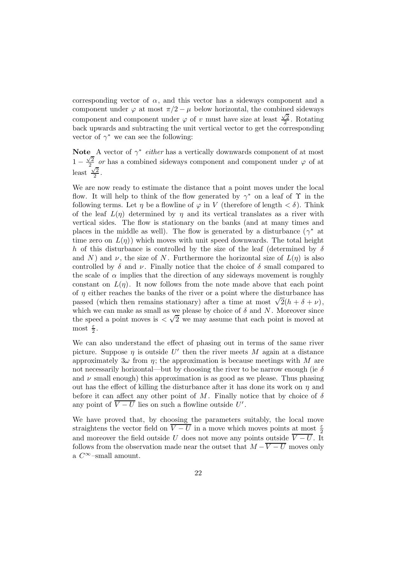corresponding vector of  $\alpha$ , and this vector has a sideways component and a component under  $\varphi$  at most  $\pi/2 - \mu$  below horizontal, the combined sideways component and component under  $\varphi$  of v must have size at least  $\frac{\sqrt{2}}{2}$ . Rotating back upwards and subtracting the unit vertical vector to get the corresponding vector of  $\gamma^*$  we can see the following:

**Note** A vector of  $\gamma^*$  *either* has a vertically downwards component of at most  $1 - \frac{\sqrt{2}}{2}$  or has a combined sideways component and component under  $\varphi$  of at least  $\frac{2}{2}$ .

We are now ready to estimate the distance that a point moves under the local flow. It will help to think of the flow generated by  $\gamma^*$  on a leaf of  $\Upsilon$  in the following terms. Let  $\eta$  be a flowline of  $\varphi$  in V (therefore of length  $\langle \delta \rangle$ ). Think of the leaf  $L(\eta)$  determined by  $\eta$  and its vertical translates as a river with vertical sides. The flow is stationary on the banks (and at many times and places in the middle as well). The flow is generated by a disturbance ( $\gamma^*$  at time zero on  $L(\eta)$  which moves with unit speed downwards. The total height h of this disturbance is controlled by the size of the leaf (determined by  $\delta$ and N) and  $\nu$ , the size of N. Furthermore the horizontal size of  $L(\eta)$  is also controlled by  $\delta$  and  $\nu$ . Finally notice that the choice of  $\delta$  small compared to the scale of  $\alpha$  implies that the direction of any sideways movement is roughly constant on  $L(\eta)$ . It now follows from the note made above that each point of  $\eta$  either reaches the banks of the river or a point where the disturbance has passed (which then remains stationary) after a time at most  $\sqrt{2}(h + \delta + \nu)$ , which we can make as small as we please by choice of  $\delta$  and N. Moreover since the speed a point moves is  $\langle \sqrt{2} \rangle$  we may assume that each point is moved at most  $\frac{\varepsilon}{2}$ .

We can also understand the effect of phasing out in terms of the same river picture. Suppose  $\eta$  is outside U' then the river meets M again at a distance approximately  $3\omega$  from  $\eta$ ; the approximation is because meetings with M are not necessarily horizontal—but by choosing the river to be narrow enough (ie  $\delta$ and  $\nu$  small enough) this approximation is as good as we please. Thus phasing out has the effect of killing the disturbance after it has done its work on  $\eta$  and before it can affect any other point of M. Finally notice that by choice of  $\delta$ any point of  $\overline{V-U}$  lies on such a flowline outside U'.

We have proved that, by choosing the parameters suitably, the local move straightens the vector field on  $\overline{V-U}$  in a move which moves points at most  $\frac{\varepsilon}{2}$ and moreover the field outside U does not move any points outside  $\overline{V-U}$ . It follows from the observation made near the outset that  $M - \overline{V-U}$  moves only a  $C^{\infty}$ –small amount.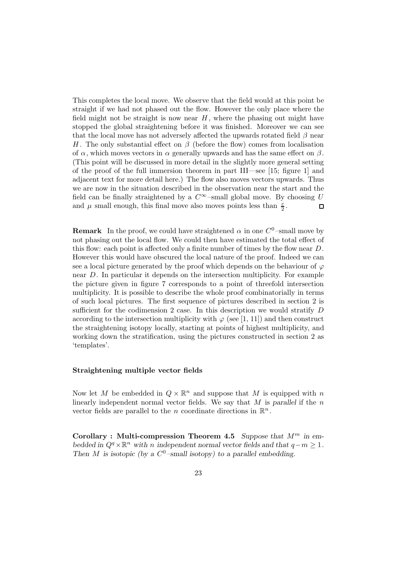This completes the local move. We observe that the field would at this point be straight if we had not phased out the flow. However the only place where the field might not be straight is now near  $H$ , where the phasing out might have stopped the global straightening before it was finished. Moreover we can see that the local move has not adversely affected the upwards rotated field  $\beta$  near H. The only substantial effect on  $\beta$  (before the flow) comes from localisation of  $\alpha$ , which moves vectors in  $\alpha$  generally upwards and has the same effect on  $\beta$ . (This point will be discussed in more detail in the slightly more general setting of the proof of the full immersion theorem in part III—see [15; figure 1] and adjacent text for more detail here.) The flow also moves vectors upwards. Thus we are now in the situation described in the observation near the start and the field can be finally straightened by a  $C^{\infty}$ –small global move. By choosing U and  $\mu$  small enough, this final move also moves points less than  $\frac{\varepsilon}{2}$ .  $\Box$ 

**Remark** In the proof, we could have straightened  $\alpha$  in one  $C^0$ -small move by not phasing out the local flow. We could then have estimated the total effect of this flow: each point is affected only a finite number of times by the flow near D. However this would have obscured the local nature of the proof. Indeed we can see a local picture generated by the proof which depends on the behaviour of  $\varphi$ near D. In particular it depends on the intersection multiplicity. For example the picture given in figure 7 corresponds to a point of threefold intersection multiplicity. It is possible to describe the whole proof combinatorially in terms of such local pictures. The first sequence of pictures described in section 2 is sufficient for the codimension 2 case. In this description we would stratify D according to the intersection multiplicity with  $\varphi$  (see [1, 11]) and then construct the straightening isotopy locally, starting at points of highest multiplicity, and working down the stratification, using the pictures constructed in section 2 as 'templates'.

#### **Straightening multiple vector fields**

Now let M be embedded in  $Q \times \mathbb{R}^n$  and suppose that M is equipped with n linearly independent normal vector fields. We say that M is *parallel* if the n vector fields are parallel to the *n* coordinate directions in  $\mathbb{R}^n$ .

**Corollary : Multi-compression Theorem 4.5** *Suppose that*  $M^m$  *in embedded in*  $Q^q \times \mathbb{R}^n$  *with n independent normal vector fields and that*  $q - m \geq 1$ *. Then M is isotopic (by a*  $C^0$  *–small isotopy) to a parallel embedding.*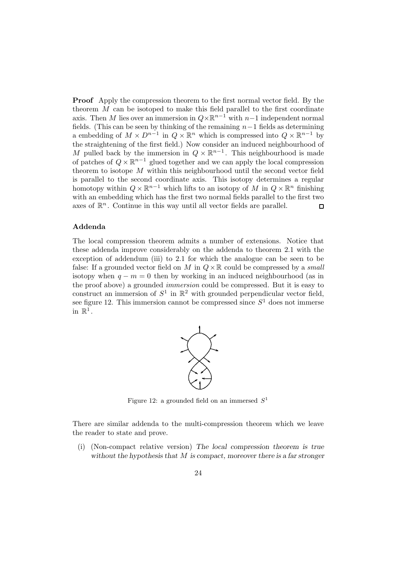**Proof** Apply the compression theorem to the first normal vector field. By the theorem  $M$  can be isotoped to make this field parallel to the first coordinate axis. Then M lies over an immersion in  $Q \times \mathbb{R}^{n-1}$  with  $n-1$  independent normal fields. (This can be seen by thinking of the remaining  $n-1$  fields as determining a embedding of  $M \times D^{n-1}$  in  $Q \times \mathbb{R}^n$  which is compressed into  $Q \times \mathbb{R}^{n-1}$  by the straightening of the first field.) Now consider an induced neighbourhood of M pulled back by the immersion in  $Q \times \mathbb{R}^{n-1}$ . This neighbourhood is made of patches of  $Q \times \mathbb{R}^{n-1}$  glued together and we can apply the local compression theorem to isotope  $M$  within this neighbourhood until the second vector field is parallel to the second coordinate axis. This isotopy determines a regular homotopy within  $Q \times \mathbb{R}^{n-1}$  which lifts to an isotopy of M in  $Q \times \mathbb{R}^n$  finishing with an embedding which has the first two normal fields parallel to the first two axes of  $\mathbb{R}^n$ . Continue in this way until all vector fields are parallel.  $\Box$ 

#### **Addenda**

The local compression theorem admits a number of extensions. Notice that these addenda improve considerably on the addenda to theorem 2.1 with the exception of addendum (iii) to 2.1 for which the analogue can be seen to be false: If a grounded vector field on M in  $Q \times \mathbb{R}$  could be compressed by a *small* isotopy when  $q - m = 0$  then by working in an induced neighbourhood (as in the proof above) a grounded immersion could be compressed. But it is easy to construct an immersion of  $S^1$  in  $\mathbb{R}^2$  with grounded perpendicular vector field, see figure 12. This immersion cannot be compressed since  $S<sup>1</sup>$  does not immerse in  $\mathbb{R}^1$ .



Figure 12: a grounded field on an immersed  $S<sup>1</sup>$ 

There are similar addenda to the multi-compression theorem which we leave the reader to state and prove.

(i) (Non-compact relative version) *The local compression theorem is true without the hypothesis that* M *is compact, moreover there is a far stronger*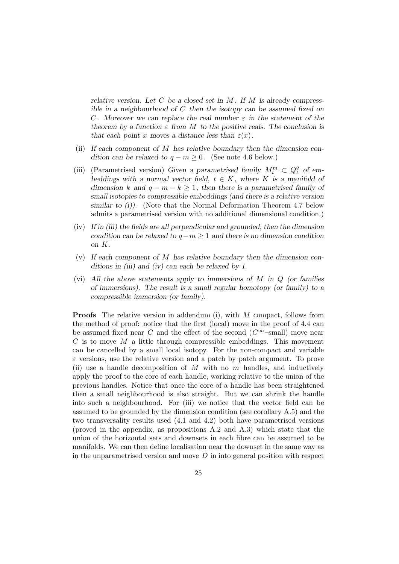*relative version. Let* C *be a closed set in* M *. If* M *is already compressible in a neighbourhood of* C *then the isotopy can be assumed fixed on* C *. Moreover we can replace the real number* ε *in the statement of the theorem by a function*  $\varepsilon$  *from* M *to the positive reals. The conclusion is that each point* x moves a distance less than  $\varepsilon(x)$ .

- (ii) *If each component of* M *has relative boundary then the dimension condition can be relaxed to*  $q - m \geq 0$ . (See note 4.6 below.)
- (iii) (Parametrised version) Given a parametrised family  $M_t^m \,\subset Q_t^q$  of em*beddings with a normal vector field,*  $t \in K$ *, where* K *is a manifold of dimension* k and  $q - m - k \geq 1$ , then there is a parametrised family of *small isotopies to compressible embeddings (and there is a relative version similar to (i)).* (Note that the Normal Deformation Theorem 4.7 below admits a parametrised version with no additional dimensional condition.)
- (iv) *If in (iii) the fields are all perpendicular and grounded, then the dimension condition can be relaxed to* q−m ≥ 1 *and there is no dimension condition on* K*.*
- (v) *If each component of* M *has relative boundary then the dimension conditions in (iii) and (iv) can each be relaxed by 1.*
- (vi) *All the above statements apply to immersions of* M *in* Q *(or families of immersions). The result is a small regular homotopy (or family) to a compressible immersion (or family).*

**Proofs** The relative version in addendum (i), with M compact, follows from the method of proof: notice that the first (local) move in the proof of 4.4 can be assumed fixed near C and the effect of the second  $(C^{\infty}-\text{small})$  move near  $C$  is to move  $M$  a little through compressible embeddings. This movement can be cancelled by a small local isotopy. For the non-compact and variable  $\varepsilon$  versions, use the relative version and a patch by patch argument. To prove (ii) use a handle decomposition of  $M$  with no  $m$ -handles, and inductively apply the proof to the core of each handle, working relative to the union of the previous handles. Notice that once the core of a handle has been straightened then a small neighbourhood is also straight. But we can shrink the handle into such a neighbourhood. For (iii) we notice that the vector field can be assumed to be grounded by the dimension condition (see corollary A.5) and the two transversality results used (4.1 and 4.2) both have parametrised versions (proved in the appendix, as propositions A.2 and A.3) which state that the union of the horizontal sets and downsets in each fibre can be assumed to be manifolds. We can then define localisation near the downset in the same way as in the unparametrised version and move  $D$  in into general position with respect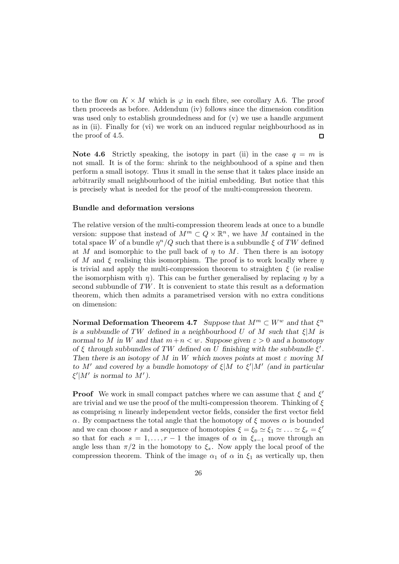to the flow on  $K \times M$  which is  $\varphi$  in each fibre, see corollary A.6. The proof then proceeds as before. Addendum (iv) follows since the dimension condition was used only to establish groundedness and for (v) we use a handle argument as in (ii). Finally for (vi) we work on an induced regular neighbourhood as in the proof of 4.5. □

**Note 4.6** Strictly speaking, the isotopy in part (ii) in the case  $q = m$  is not small. It is of the form: shrink to the neighbouhood of a spine and then perform a small isotopy. Thus it small in the sense that it takes place inside an arbitrarily small neighbourhood of the initial embedding. But notice that this is precisely what is needed for the proof of the multi-compression theorem.

### **Bundle and deformation versions**

The relative version of the multi-compression theorem leads at once to a bundle version: suppose that instead of  $M^m \subset Q \times \mathbb{R}^n$ , we have M contained in the total space W of a bundle  $\eta^n/Q$  such that there is a subbundle  $\xi$  of TW defined at M and isomorphic to the pull back of  $\eta$  to M. Then there is an isotopy of M and  $\xi$  realising this isomorphism. The proof is to work locally where  $\eta$ is trivial and apply the multi-compression theorem to straighten  $\xi$  (ie realise the isomorphism with  $\eta$ ). This can be further generalised by replacing  $\eta$  by a second subbundle of TW . It is convenient to state this result as a deformation theorem, which then admits a parametrised version with no extra conditions on dimension:

**Normal Deformation Theorem 4.7** *Suppose that*  $M^m \subset W^w$  *and that*  $\xi^n$ *is a subbundle of* TW *defined in a neighbourhood* U *of* M *such that* ξ|M *is normal to* M *in* W and that  $m+n < w$ . Suppose given  $\varepsilon > 0$  and a homotopy *of*  $\xi$  *through subbundles of TW defined on* U *finishing with the subbundle*  $\xi'$ . *Then there is an isotopy of* M *in* W which moves points at most  $\varepsilon$  moving M *to*  $M'$  and covered by a bundle homotopy of  $\xi|M$  to  $\xi'|M'$  (and in particular  $\xi^{\prime}|M^{\prime}$  is normal to  $M^{\prime}$ ).

**Proof** We work in small compact patches where we can assume that  $\xi$  and  $\xi'$ are trivial and we use the proof of the multi-compression theorem. Thinking of  $\xi$ as comprising n linearly independent vector fields, consider the first vector field α. By compactness the total angle that the homotopy of ξ moves α is bounded and we can choose r and a sequence of homotopies  $\xi = \xi_0 \simeq \xi_1 \simeq \ldots \simeq \xi_r = \xi'$ so that for each  $s = 1, \ldots, r - 1$  the images of  $\alpha$  in  $\xi_{s-1}$  move through an angle less than  $\pi/2$  in the homotopy to  $\xi_s$ . Now apply the local proof of the compression theorem. Think of the image  $\alpha_1$  of  $\alpha$  in  $\xi_1$  as vertically up, then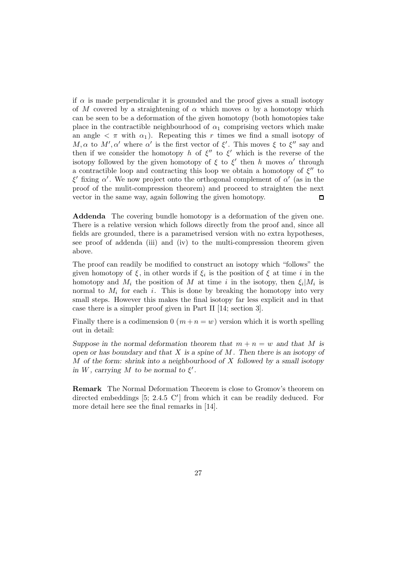if  $\alpha$  is made perpendicular it is grounded and the proof gives a small isotopy of M covered by a straightening of  $\alpha$  which moves  $\alpha$  by a homotopy which can be seen to be a deformation of the given homotopy (both homotopies take place in the contractible neighbourhood of  $\alpha_1$  comprising vectors which make an angle  $\langle \pi \rangle$  with  $\alpha_1$ ). Repeating this r times we find a small isotopy of M,  $\alpha$  to M',  $\alpha'$  where  $\alpha'$  is the first vector of  $\xi'$ . This moves  $\xi$  to  $\xi''$  say and then if we consider the homotopy h of  $\xi''$  to  $\xi'$  which is the reverse of the isotopy followed by the given homotopy of  $\xi$  to  $\xi'$  then h moves  $\alpha'$  through a contractible loop and contracting this loop we obtain a homotopy of  $\xi''$  to ξ' fixing α'. We now project onto the orthogonal complement of  $\alpha'$  (as in the proof of the mulit-compression theorem) and proceed to straighten the next vector in the same way, again following the given homotopy.  $\Box$ 

**Addenda** The covering bundle homotopy is a deformation of the given one. There is a relative version which follows directly from the proof and, since all fields are grounded, there is a parametrised version with no extra hypotheses, see proof of addenda (iii) and (iv) to the multi-compression theorem given above.

The proof can readily be modified to construct an isotopy which "follows" the given homotopy of  $\xi$ , in other words if  $\xi_i$  is the position of  $\xi$  at time i in the homotopy and  $M_i$  the position of M at time i in the isotopy, then  $\xi_i|M_i$  is normal to  $M_i$  for each i. This is done by breaking the homotopy into very small steps. However this makes the final isotopy far less explicit and in that case there is a simpler proof given in Part II [14; section 3].

Finally there is a codimension 0  $(m+n=w)$  version which it is worth spelling out in detail:

*Suppose in the normal deformation theorem that*  $m + n = w$  *and that* M *is open or has boundary and that* X *is a spine of* M *. Then there is an isotopy of* M *of the form: shrink into a neighbourhood of* X *followed by a small isotopy in*  $W$ *, carrying*  $M$  *to be normal to*  $\xi'$ *.* 

**Remark** The Normal Deformation Theorem is close to Gromov's theorem on directed embeddings  $[5; 2.4.5 \, \text{C}']$  from which it can be readily deduced. For more detail here see the final remarks in [14].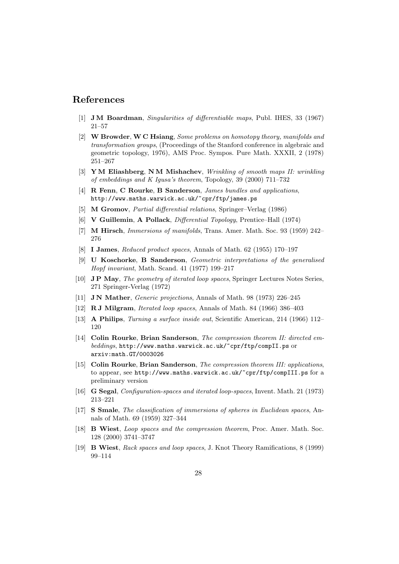## **References**

- [1] **J M Boardman**, Singularities of differentiable maps, Publ. IHES, 33 (1967) 21–57
- [2] **W Browder**, **W C Hsiang**, Some problems on homotopy theory, manifolds and transformation groups, (Proceedings of the Stanford conference in algebraic and geometric topology, 1976), AMS Proc. Sympos. Pure Math. XXXII, 2 (1978) 251–267
- [3] **Y M Eliashberg**, **N M Mishachev**, Wrinkling of smooth maps II: wrinkling of embeddings and K Igusa's theorem, Topology, 39 (2000) 711–732
- [4] **R Fenn**, **C Rourke**, **B Sanderson**, James bundles and applications, http://www.maths.warwick.ac.uk/~cpr/ftp/james.ps
- [5] **M Gromov**, Partial differential relations, Springer–Verlag (1986)
- [6] **V Guillemin**, **A Pollack**, Differential Topology, Prentice–Hall (1974)
- [7] **M Hirsch**, Immersions of manifolds, Trans. Amer. Math. Soc. 93 (1959) 242– 276
- [8] **I James**, Reduced product spaces, Annals of Math. 62 (1955) 170–197
- [9] **U Koschorke**, **B Sanderson**, Geometric interpretations of the generalised Hopf invariant, Math. Scand. 41 (1977) 199–217
- [10] **J P May**, The geometry of iterated loop spaces, Springer Lectures Notes Series, 271 Springer-Verlag (1972)
- [11] **J N Mather**, Generic projections, Annals of Math. 98 (1973) 226–245
- [12] **R J Milgram**, Iterated loop spaces, Annals of Math. 84 (1966) 386–403
- [13] **A Philips**, Turning a surface inside out, Scientific American, 214 (1966) 112– 120
- [14] **Colin Rourke**, **Brian Sanderson**, The compression theorem II: directed embeddings, http://www.maths.warwick.ac.uk/~cpr/ftp/compII.ps or arxiv:math.GT/0003026
- [15] **Colin Rourke**, **Brian Sanderson**, The compression theorem III: applications, to appear, see http://www.maths.warwick.ac.uk/~cpr/ftp/compIII.ps for a preliminary version
- [16] **G Segal**, Configuration-spaces and iterated loop-spaces, Invent. Math. 21 (1973) 213–221
- [17] **S Smale**, The classification of immersions of spheres in Euclidean spaces, Annals of Math. 69 (1959) 327–344
- [18] **B Wiest**, Loop spaces and the compression theorem, Proc. Amer. Math. Soc. 128 (2000) 3741–3747
- [19] **B Wiest**, Rack spaces and loop spaces, J. Knot Theory Ramifications, 8 (1999) 99–114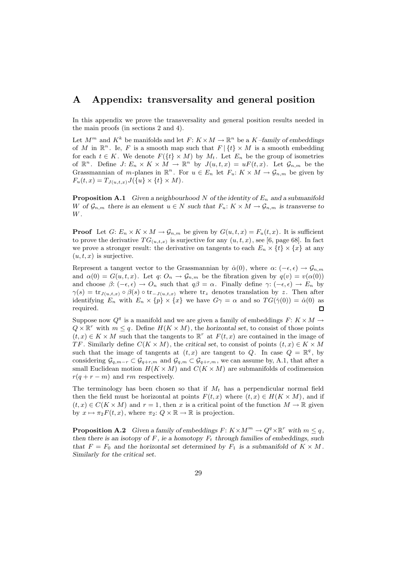## **A Appendix: transversality and general position**

In this appendix we prove the transversality and general position results needed in the main proofs (in sections 2 and 4).

Let  $M^m$  and  $K^k$  be manifolds and let  $F: K \times M \to \mathbb{R}^n$  be a  $K$ *–family of embeddings* of M in  $\mathbb{R}^n$ . Ie, F is a smooth map such that  $F | \{t\} \times M$  is a smooth embedding for each  $t \in K$ . We denote  $F({t} \times M)$  by  $M_t$ . Let  $E_n$  be the group of isometries of  $\mathbb{R}^n$ . Define  $J: E_n \times K \times M \to \mathbb{R}^n$  by  $J(u, t, x) = uF(t, x)$ . Let  $\mathcal{G}_{n,m}$  be the Grassmannian of m-planes in  $\mathbb{R}^n$ . For  $u \in E_n$  let  $F_u: K \times M \to \mathcal{G}_{n,m}$  be given by  $F_u(t, x) = T_{J(u,t,x)} J(\{u\} \times \{t\} \times M).$ 

**Proposition A.1** *Given a neighbourhood N of the identity of*  $E_n$  *and a submanifold* W of  $\mathcal{G}_{n,m}$  there is an element  $u \in N$  such that  $F_u: K \times M \to \mathcal{G}_{n,m}$  is transverse to W *.*

**Proof** Let  $G: E_n \times K \times M \to \mathcal{G}_{n,m}$  be given by  $G(u, t, x) = F_u(t, x)$ . It is sufficient to prove the derivative  $TG_{(u,t,x)}$  is surjective for any  $(u,t,x)$ , see [6, page 68]. In fact we prove a stronger result: the derivative on tangents to each  $E_n \times \{t\} \times \{x\}$  at any  $(u, t, x)$  is surjective.

Represent a tangent vector to the Grassmannian by  $\dot{\alpha}(0)$ , where  $\alpha: (-\epsilon, \epsilon) \to \mathcal{G}_{n,m}$ and  $\alpha(0) = G(u, t, x)$ . Let  $q: O_n \to \mathcal{G}_{n,m}$  be the fibration given by  $q(v) = v(\alpha(0))$ and choose  $\beta$ :  $(-\epsilon, \epsilon) \to O_n$  such that  $q\beta = \alpha$ . Finally define  $\gamma$ :  $(-\epsilon, \epsilon) \to E_n$  by  $\gamma(s) = \text{tr}_{J(u,t,x)} \circ \beta(s) \circ \text{tr}_{-J(u,t,x)}$  where  $\text{tr}_z$  denotes translation by z. Then after identifying  $E_n$  with  $E_n \times \{p\} \times \{x\}$  we have  $G\gamma = \alpha$  and so  $TG(\dot{\gamma}(0)) = \dot{\alpha}(0)$  as required. □

Suppose now  $Q^q$  is a manifold and we are given a family of embeddings  $F: K \times M \rightarrow$  $Q \times \mathbb{R}^r$  with  $m \leq q$ . Define  $H(K \times M)$ , the *horizontal set*, to consist of those points  $(t, x) \in K \times M$  such that the tangents to  $\mathbb{R}^r$  at  $F(t, x)$  are contained in the image of TF. Similarly define  $C(K \times M)$ , the *critical set*, to consist of points  $(t, x) \in K \times M$ such that the image of tangents at  $(t, x)$  are tangent to Q. In case  $Q = \mathbb{R}^q$ , by considering  $\mathcal{G}_{q,m-r} \subset \mathcal{G}_{q+r,m}$  and  $\mathcal{G}_{q,m} \subset \mathcal{G}_{q+r,m}$ , we can assume by, A.1, that after a small Euclidean motion  $H(K \times M)$  and  $C(K \times M)$  are submanifolds of codimension  $r(q + r - m)$  and rm respectively.

The terminology has been chosen so that if  $M_t$  has a perpendicular normal field then the field must be horizontal at points  $F(t, x)$  where  $(t, x) \in H(K \times M)$ , and if  $(t, x) \in C(K \times M)$  and  $r = 1$ , then x is a critical point of the function  $M \to \mathbb{R}$  given by  $x \mapsto \pi_2 F(t, x)$ , where  $\pi_2: Q \times \mathbb{R} \to \mathbb{R}$  is projection.

**Proposition A.2** *Given a family of embeddings*  $F: K \times M^m \to Q^q \times \mathbb{R}^r$  *with*  $m \leq q$ , *then there is an isotopy of*  $F$ *, ie a homotopy*  $F_t$  *through families of embeddings, such that*  $F = F_0$  *and the horizontal set determined by*  $F_1$  *is a submanifold of*  $K \times M$ *. Similarly for the critical set.*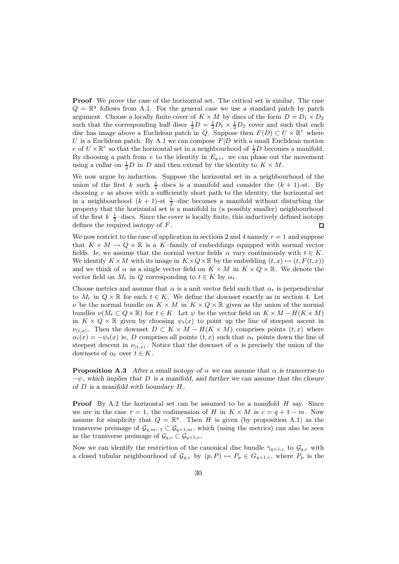**Proof** We prove the case of the horizontal set. The critical set is similar. The case  $Q = \mathbb{R}^q$  follows from A.1. For the general case we use a standard patch by patch argument. Choose a locally finite cover of  $K \times M$  by discs of the form  $D = D_1 \times D_2$ such that the corresponding half discs  $\frac{1}{2}D = \frac{1}{2}D_1 \times \frac{1}{2}D_2$  cover and such that each disc has image above a Euclidean patch in Q. Suppose then  $F(D) \subset U \times \mathbb{R}^r$  where U is a Euclidean patch. By A.1 we can compose  $F|D$  with a small Euclidean motion e of  $U \times \mathbb{R}^r$  so that the horizontal set in a neighbourhood of  $\frac{1}{2}D$  becomes a manifold. By choosing a path from  $e$  to the identity in  $E_{q+r}$  we can phase out the movement using a collar on  $\frac{1}{2}D$  in D and then extend by the identity to  $K \times M$ .

We now argue by induction. Suppose the horizontal set in a neighbourhood of the union of the first k such  $\frac{1}{2}$ -discs is a manifold and consider the  $(k + 1)$ -st. By choosing  $e$  as above with a sufficiently short path to the identity, the horizontal set in a neighbourhood  $(k + 1)$ -st  $\frac{1}{2}$ -disc becomes a manifold without disturbing the property that the horizontal set is a manifold in (a possibly smaller) neighbourhood of the first  $k \frac{1}{2}$ -discs. Since the cover is locally finite, this inductively defined isotopy defines the required isotopy of  $F$ .

We now restrict to the case of application in sections 2 and 4 namely  $r = 1$  and suppose that  $K \times M \to Q \times \mathbb{R}$  is a K-family of embeddings equipped with normal vector fields. Ie, we assume that the normal vector fields  $\alpha$  vary continuously with  $t \in K$ . We identify  $K \times M$  with its image in  $K \times Q \times \mathbb{R}$  by the embedding  $(t, x) \mapsto (t, F(t, x))$ and we think of  $\alpha$  as a single vector field on  $K \times M$  in  $K \times Q \times \mathbb{R}$ . We denote the vector field on  $M_t$  in Q corresponding to  $t \in K$  by  $\alpha_t$ .

Choose metrics and assume that  $\alpha$  is a unit vector field such that  $\alpha_t$  is perpendicular to  $M_t$  in  $Q \times \mathbb{R}$  for each  $t \in K$ . We define the *downset* exactly as in section 4. Let  $\nu$  be the normal bundle on  $K \times M$  in  $K \times Q \times \mathbb{R}$  given as the union of the normal bundles  $\nu(M_t \subset Q \times \mathbb{R})$  for  $t \in K$ . Let  $\psi$  be the vector field on  $K \times M - H(K \times M)$ in  $K \times Q \times \mathbb{R}$  given by choosing  $\psi_t(x)$  to point up the line of steepest ascent in  $\nu_{(t,x)}$ . Then the downset  $D \subset K \times M - H(K \times M)$  comprises points  $(t,x)$  where  $\alpha_t(x) = -\psi_t(x)$  ie, D comprises all points  $(t, x)$  such that  $\alpha_t$  points down the line of steepest descent in  $\nu_{(t,x)}$ . Notice that the downset of  $\alpha$  is precisely the union of the downsets of  $\alpha_t$  over  $t \in K$ .

**Proposition A.3** *After a small isotopy of*  $\alpha$  *we can assume that*  $\alpha$  *is transverse to* −ψ*, which implies that* D *is a manifold, and further we can assume that the closure of* D *is a manifold with boundary* H *.*

**Proof** By A.2 the horizontal set can be assumed to be a manifold H say. Since we are in the case  $r = 1$ , the codimension of H in  $K \times M$  is  $c = q + 1 - m$ . Now assume for simplicity that  $Q = \mathbb{R}^q$ . Then H is given (by proposition A.1) as the transverse preimage of  $\mathcal{G}_{q,m-1} \subset \mathcal{G}_{q+1,m}$ , which (using the metrics) can also be seen as the transverse preimage of  $\mathcal{G}_{q,c} \subset \mathcal{G}_{q+1,c}$ .

Now we can identify the restriction of the canonical disc bundle  $\bar{\gamma}_{q+1,c}$  to  $\mathcal{G}_{q,c}$  with a closed tubular neighbourhood of  $\mathcal{G}_{q,c}$  by  $(p, P) \mapsto P_p \in G_{q+1,c}$ , where  $P_p$  is the